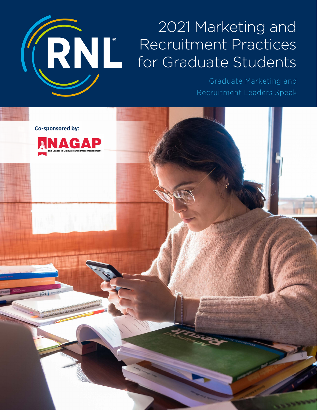# KRNL

# 2021 Marketing and Recruitment Practices for Graduate Students

Graduate Marketing and Recruitment Leaders Speak

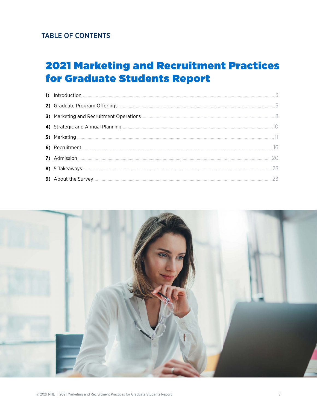# **TABLE OF CONTENTS**

# **2021 Marketing and Recruitment Practices** for Graduate Students Report

| 9) About the Survey <b>Executive Survey</b> 23 |
|------------------------------------------------|

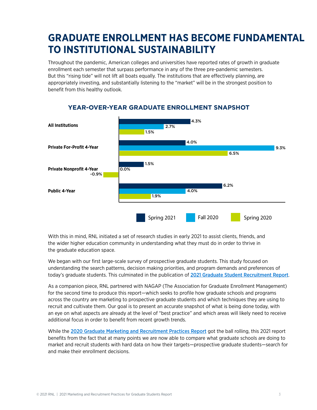# **GRADUATE ENROLLMENT HAS BECOME FUNDAMENTAL TO INSTITUTIONAL SUSTAINABILITY**

Throughout the pandemic, American colleges and universities have reported rates of growth in graduate enrollment each semester that surpass performance in any of the three pre-pandemic semesters. But this "rising tide" will not lift all boats equally. The institutions that are effectively planning, are appropriately investing, and substantially listening to the "market" will be in the strongest position to benefit from this healthy outlook.



#### **YEAR-OVER-YEAR GRADUATE ENROLLMENT SNAPSHOT**

With this in mind, RNL initiated a set of research studies in early 2021 to assist clients, friends, and the wider higher education community in understanding what they must do in order to thrive in the graduate education space.

We began with our first large-scale survey of prospective graduate students. This study focused on understanding the search patterns, decision making priorities, and program demands and preferences of today's graduate students. This culminated in the publication of [2021 Graduate Student Recruitment Report](https://www.ruffalonl.com/papers-research-higher-education-fundraising/graduate-student-recruitment-report-2/).

As a companion piece, RNL partnered with NAGAP (The Association for Graduate Enrollment Management) for the second time to produce this report—which seeks to profile how graduate schools and programs across the country are marketing to prospective graduate students and which techniques they are using to recruit and cultivate them. Our goal is to present an accurate snapshot of what is being done today, with an eye on what aspects are already at the level of "best practice" and which areas will likely need to receive additional focus in order to benefit from recent growth trends.

While the [2020 Graduate Marketing and Recruitment Practices Report](https://www.ruffalonl.com/papers-research-higher-education-fundraising/graduate-student-recruitment-report/) got the ball rolling, this 2021 report benefits from the fact that at many points we are now able to compare what graduate schools are doing to market and recruit students with hard data on how their targets—prospective graduate students—search for and make their enrollment decisions.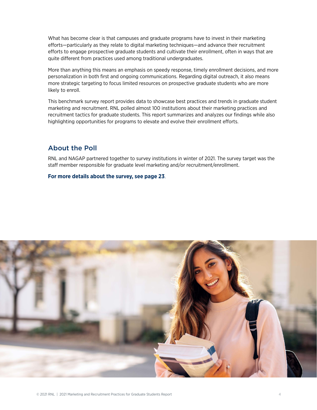What has become clear is that campuses and graduate programs have to invest in their marketing efforts—particularly as they relate to digital marketing techniques—and advance their recruitment efforts to engage prospective graduate students and cultivate their enrollment, often in ways that are quite different from practices used among traditional undergraduates.

More than anything this means an emphasis on speedy response, timely enrollment decisions, and more personalization in both first and ongoing communications. Regarding digital outreach, it also means more strategic targeting to focus limited resources on prospective graduate students who are more likely to enroll.

This benchmark survey report provides data to showcase best practices and trends in graduate student marketing and recruitment. RNL polled almost 100 institutions about their marketing practices and recruitment tactics for graduate students. This report summarizes and analyzes our findings while also highlighting opportunities for programs to elevate and evolve their enrollment efforts.

#### About the Poll

RNL and NAGAP partnered together to survey institutions in winter of 2021. The survey target was the staff member responsible for graduate level marketing and/or recruitment/enrollment.

#### **For more details about the survey, see [page 2](#page-22-0)3**.

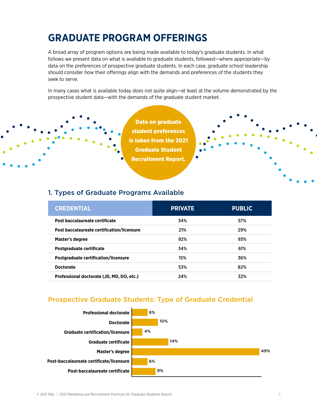# **GRADUATE PROGRAM OFFERINGS**

A broad array of program options are being made available to today's graduate students. In what follows we present data on what is available to graduate students, followed—where appropriate—by data on the preferences of prospective graduate students. In each case, graduate school leadership should consider how their offerings align with the demands and preferences of the students they seek to serve.

In many cases what is available today does not quite align—at least at the volume demonstrated by the prospective student data—with the demands of the graduate student market.

> Data on graduate student preferences is taken from the 2021 Graduate Student Recruitment Report.

#### 1. Types of Graduate Programs Available

| <b>CREDENTIAL</b>                          | <b>PRIVATE</b> | <b>PUBLIC</b> |
|--------------------------------------------|----------------|---------------|
| Post baccalaureate certificate             | 34%            | 57%           |
| Post baccalaureate certification/licensure | 21%            | 29%           |
| Master's degree                            | 92%            | 93%           |
| Postgraduate certificate                   | 34%            | 61%           |
| Postgraduate certification/licensure       | 15%            | 36%           |
| <b>Doctorate</b>                           | 53%            | 82%           |
| Professional doctorate (JD, MD, DO, etc.)  | 24%            | 32%           |

## Prospective Graduate Students: Type of Graduate Credential

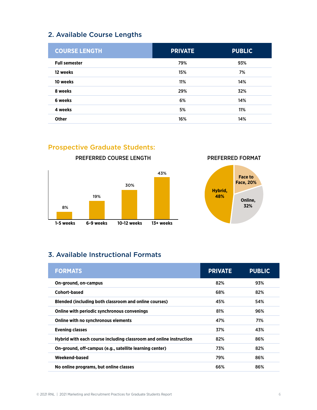# 2. Available Course Lengths

| <b>COURSE LENGTH</b> | <b>PRIVATE</b> | <b>PUBLIC</b> |
|----------------------|----------------|---------------|
| <b>Full semester</b> | 79%            | 93%           |
| 12 weeks             | 15%            | 7%            |
| 10 weeks             | 11%            | 14%           |
| 8 weeks              | 29%            | 32%           |
| 6 weeks              | 6%             | 14%           |
| 4 weeks              | 5%             | 11%           |
| <b>Other</b>         | 16%            | 14%           |

# Prospective Graduate Students:



PREFERRED COURSE LENGTH PREFERRED FORMAT



# 3. Available Instructional Formats

| <b>FORMATS</b>                                                     | <b>PRIVATE</b> | <b>PUBLIC</b> |
|--------------------------------------------------------------------|----------------|---------------|
| On-ground, on-campus                                               | 82%            | 93%           |
| Cohort-based                                                       | 68%            | 82%           |
| Blended (including both classroom and online courses)              | 45%            | 54%           |
| Online with periodic synchronous convenings                        | 81%            | 96%           |
| Online with no synchronous elements                                | 47%            | 71%           |
| <b>Evening classes</b>                                             | 37%            | 43%           |
| Hybrid with each course including classroom and online instruction | 82%            | 86%           |
| On-ground, off-campus (e.g., satellite learning center)            | 73%            | 82%           |
| Weekend-based                                                      | 79%            | 86%           |
| No online programs, but online classes                             | 66%            | 86%           |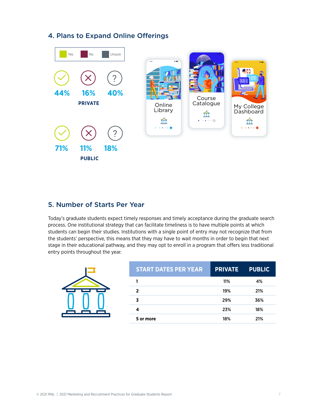# 4. Plans to Expand Online Offerings



### 5. Number of Starts Per Year

Today's graduate students expect timely responses and timely acceptance during the graduate search process. One institutional strategy that can facilitate timeliness is to have multiple points at which students can begin their studies. Institutions with a single point of entry may not recognize that from the students' perspective, this means that they may have to wait months in order to begin that next stage in their educational pathway, and they may opt to enroll in a program that offers less traditional entry points throughout the year.

| <b>START DATES PER YEAR</b> | <b>PRIVATE</b> | <b>PUBLIC</b> |
|-----------------------------|----------------|---------------|
|                             | 11%            | 4%            |
| 2                           | 19%            | 21%           |
|                             | 29%            | 36%           |
| 4                           | 23%            | 18%           |
| 5 or more                   | 18%            | 21%           |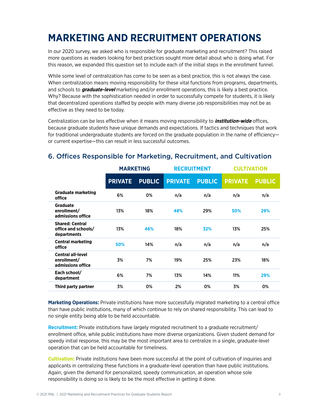# **MARKETING AND RECRUITMENT OPERATIONS**

In our 2020 survey, we asked who is responsible for graduate marketing and recruitment? This raised more questions as readers looking for best practices sought more detail about who is doing what. For this reason, we expanded this question set to include each of the initial steps in the enrollment funnel.

While some level of centralization has come to be seen as a best practice, this is not always the case. When centralization means moving responsibility for these vital functions from programs, departments, and schools to **graduate-level** marketing and/or enrollment operations, this is likely a best practice. Why? Because with the sophistication needed in order to successfully compete for students, it is likely that decentralized operations staffed by people with many diverse job responsibilities may not be as effective as they need to be today.

Centralization can be less effective when it means moving responsibility to **institution-wide** offices, because graduate students have unique demands and expectations. If tactics and techniques that work for traditional undergraduate students are forced on the graduate population in the name of efficiencyor current expertise—this can result in less successful outcomes.

|                                                              | <b>MARKETING</b> |               | <b>RECRUITMENT</b> |               | <b>CULTIVATION</b> |               |
|--------------------------------------------------------------|------------------|---------------|--------------------|---------------|--------------------|---------------|
|                                                              | <b>PRIVATE</b>   | <b>PUBLIC</b> | <b>PRIVATE</b>     | <b>PUBLIC</b> | <b>PRIVATE</b>     | <b>PUBLIC</b> |
| <b>Graduate marketing</b><br>office                          | 6%               | 0%            | n/a                | n/a           | n/a                | n/a           |
| <b>Graduate</b><br>enrollment/<br>admissions office          | 13%              | 18%           | 48%                | 29%           | 50%                | 29%           |
| <b>Shared: Central</b><br>office and schools/<br>departments | 13%              | 46%           | 18%                | 32%           | 13%                | 25%           |
| <b>Central marketing</b><br>office                           | 50%              | 14%           | n/a                | n/a           | n/a                | n/a           |
| <b>Central all-level</b><br>enrollment/<br>admissions office | 3%               | 7%            | 19%                | 25%           | 23%                | 18%           |
| Each school/<br>department                                   | 6%               | 7%            | 13%                | 14%           | 11%                | 29%           |
| Third party partner                                          | 3%               | 0%            | 2%                 | 0%            | 3%                 | 0%            |

## 6. Offices Responsible for Marketing, Recruitment, and Cultivation

**Marketing Operations:** Private institutions have more successfully migrated marketing to a central office than have public institutions, many of which continue to rely on shared responsibility. This can lead to no single entity being able to be held accountable.

**Recruitment:** Private institutions have largely migrated recruitment to a graduate recruitment/ enrollment office, while public institutions have more diverse organizations. Given student demand for speedy initial response, this may be the most important area to centralize in a single, graduate-level operation that can be held accountable for timeliness.

**Cultivation:** Private institutions have been more successful at the point of cultivation of inquiries and applicants in centralizing these functions in a graduate-level operation than have public institutions. Again, given the demand for personalized, speedy communication, an operation whose sole responsibility is doing so is likely to be the most effective in getting it done.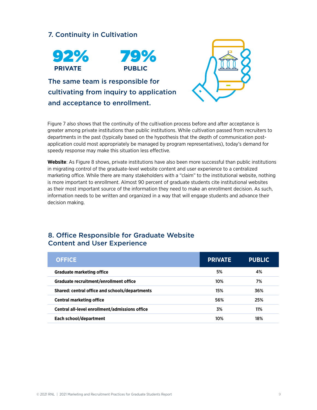# 7. Continuity in Cultivation





The same team is responsible for cultivating from inquiry to application and acceptance to enrollment.



Figure 7 also shows that the continuity of the cultivation process before and after acceptance is greater among private institutions than public institutions. While cultivation passed from recruiters to departments in the past (typically based on the hypothesis that the depth of communication postapplication could most appropriately be managed by program representatives), today's demand for speedy response may make this situation less effective.

**Website**: As Figure 8 shows, private institutions have also been more successful than public institutions in migrating control of the graduate-level website content and user experience to a centralized marketing office. While there are many stakeholders with a "claim" to the institutional website, nothing is more important to enrollment. Almost 90 percent of graduate students cite institutional websites as their most important source of the information they need to make an enrollment decision. As such, information needs to be written and organized in a way that will engage students and advance their decision making.

#### 8. Office Responsible for Graduate Website Content and User Experience

| <b>OFFICE</b>                                  | <b>PRIVATE</b> | <b>PUBLIC</b> |
|------------------------------------------------|----------------|---------------|
| <b>Graduate marketing office</b>               | 5%             | 4%            |
| Graduate recruitment/enrollment office         | 10%            | 7%            |
| Shared: central office and schools/departments | 15%            | 36%           |
| <b>Central marketing office</b>                | 56%            | 25%           |
| Central all-level enrollment/admissions office | 3%             | 11%           |
| Each school/department                         | 10%            | 18%           |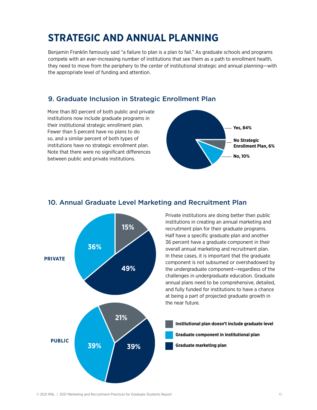# **STRATEGIC AND ANNUAL PLANNING**

Benjamin Franklin famously said "a failure to plan is a plan to fail." As graduate schools and programs compete with an ever-increasing number of institutions that see them as a path to enrollment health, they need to move from the periphery to the center of institutional strategic and annual planning—with the appropriate level of funding and attention.

## 9. Graduate Inclusion in Strategic Enrollment Plan

More than 80 percent of both public and private institutions now include graduate programs in their institutional strategic enrollment plan. Fewer than 5 percent have no plans to do so, and a similar percent of both types of institutions have no strategic enrollment plan. Note that there were no significant differences between public and private institutions.





#### 10. Annual Graduate Level Marketing and Recruitment Plan

Private institutions are doing better than public institutions in creating an annual marketing and recruitment plan for their graduate programs. Half have a specific graduate plan and another 36 percent have a graduate component in their overall annual marketing and recruitment plan. In these cases, it is important that the graduate component is not subsumed or overshadowed by the undergraduate component—regardless of the challenges in undergraduate education. Graduate annual plans need to be comprehensive, detailed, and fully funded for institutions to have a chance at being a part of projected graduate growth in the near future.

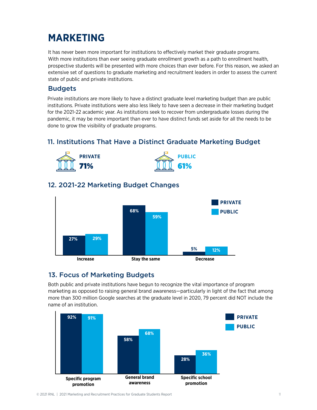# **MARKETING**

It has never been more important for institutions to effectively market their graduate programs. With more institutions than ever seeing graduate enrollment growth as a path to enrollment health, prospective students will be presented with more choices than ever before. For this reason, we asked an extensive set of questions to graduate marketing and recruitment leaders in order to assess the current state of public and private institutions.

#### Budgets

Private institutions are more likely to have a distinct graduate level marketing budget than are public institutions. Private institutions were also less likely to have seen a decrease in their marketing budget for the 2021-22 academic year. As institutions seek to recover from undergraduate losses during the pandemic, it may be more important than ever to have distinct funds set aside for all the needs to be done to grow the visibility of graduate programs.

# 11. Institutions That Have a Distinct Graduate Marketing Budget



# 12. 2021-22 Marketing Budget Changes



## 13. Focus of Marketing Budgets

Both public and private institutions have begun to recognize the vital importance of program marketing as opposed to raising general brand awareness—particularly in light of the fact that among more than 300 million Google searches at the graduate level in 2020, 79 percent did NOT include the name of an institution.

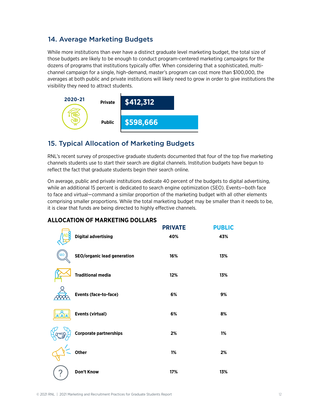# 14. Average Marketing Budgets

While more institutions than ever have a distinct graduate level marketing budget, the total size of those budgets are likely to be enough to conduct program-centered marketing campaigns for the dozens of programs that institutions typically offer. When considering that a sophisticated, multichannel campaign for a single, high-demand, master's program can cost more than \$100,000, the averages at both public and private institutions will likely need to grow in order to give institutions the visibility they need to attract students.



# 15. Typical Allocation of Marketing Budgets

RNL's recent survey of prospective graduate students documented that four of the top five marketing channels students use to start their search are digital channels. Institution budgets have begun to reflect the fact that graduate students begin their search online.

On average, public and private institutions dedicate 40 percent of the budgets to digital advertising, while an additional 15 percent is dedicated to search engine optimization (SEO). Events—both face to face and virtual—command a similar proportion of the marketing budget with all other elements comprising smaller proportions. While the total marketing budget may be smaller than it needs to be, it is clear that funds are being directed to highly effective channels.

#### **ALLOCATION OF MARKETING DOLLARS**

|            |                                    | <b>PRIVATE</b> | <b>PUBLIC</b> |
|------------|------------------------------------|----------------|---------------|
|            | <b>Digital advertising</b>         | 40%            | 43%           |
| <b>SEC</b> | <b>SEO/organic lead generation</b> | 16%            | 13%           |
|            | <b>Traditional media</b>           | 12%            | 13%           |
|            | Events (face-to-face)              | 6%             | 9%            |
|            | <b>Events (virtual)</b>            | 6%             | 8%            |
|            | <b>Corporate partnerships</b>      | 2%             | 1%            |
|            | <b>Other</b>                       | 1%             | 2%            |
|            | Don't Know                         | 17%            | 13%           |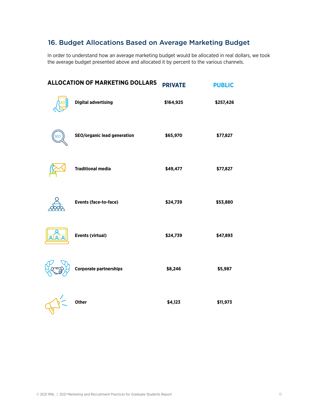# 16. Budget Allocations Based on Average Marketing Budget

In order to understand how an average marketing budget would be allocated in real dollars, we took the average budget presented above and allocated it by percent to the various channels.

|            | <b>ALLOCATION OF MARKETING DOLLARS</b> | <b>PRIVATE</b> | <b>PUBLIC</b> |
|------------|----------------------------------------|----------------|---------------|
|            | <b>Digital advertising</b>             | \$164,925      | \$257,426     |
| <b>SEO</b> | <b>SEO/organic lead generation</b>     | \$65,970       | \$77,827      |
|            | <b>Traditional media</b>               | \$49,477       | \$77,827      |
|            | Events (face-to-face)                  | \$24,739       | \$53,880      |
|            | Events (virtual)                       | \$24,739       | \$47,893      |
|            | <b>Corporate partnerships</b>          | \$8,246        | \$5,987       |
|            | Other                                  | \$4,123        | \$11,973      |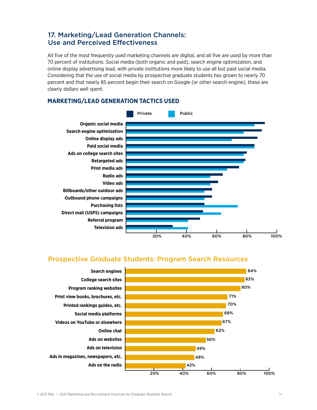### 17. Marketing/Lead Generation Channels: Use and Perceived Effectiveness

All five of the most frequently used marketing channels are digital, and all five are used by more than 70 percent of institutions. Social media (both organic and paid), search engine optimization, and online display advertising lead, with private institutions more likely to use all but paid social media. Considering that the use of social media by prospective graduate students has grown to nearly 70 percent and that nearly 85 percent begin their search on Google (or other search engine), these are clearly dollars well spent.

#### **MARKETING/LEAD GENERATION TACTICS USED**



#### Prospective Graduate Students: Program Search Resources

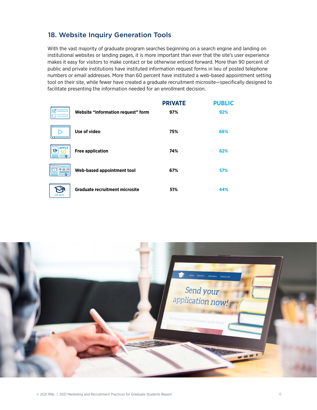## 18. Website Inquiry Generation Tools

With the vast majority of graduate program searches beginning on a search engine and landing on institutional websites or landing pages, it is more important than ever that the site's user experience makes it easy for visitors to make contact or be otherwise enticed forward. More than 90 percent of public and private institutions have instituted information request forms in lieu of posted telephone numbers or email addresses. More than 60 percent have instituted a web-based appointment setting tool on their site, while fewer have created a graduate recruitment microsite—specifically designed to facilitate presenting the information needed for an enrollment decision.

|                   |                                       | <b>PRIVATE</b> | <b>PUBLIC</b> |
|-------------------|---------------------------------------|----------------|---------------|
|                   | Website "information request" form    | 97%            | 92%           |
| т                 | Use of video                          | 75%            | 66%           |
| <b>APPLY</b><br>ঔ | <b>Free application</b>               | 74%            | 62%           |
| <b>SCHEDULE</b>   | Web-based appointment tool            | 67%            | 57%           |
| <b>GRADS</b>      | <b>Graduate recruitment microsite</b> | 51%            | 44%           |

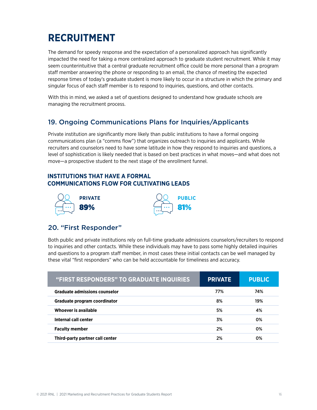# **RECRUITMENT**

The demand for speedy response and the expectation of a personalized approach has significantly impacted the need for taking a more centralized approach to graduate student recruitment. While it may seem counterintuitive that a central graduate recruitment office could be more personal than a program staff member answering the phone or responding to an email, the chance of meeting the expected response times of today's graduate student is more likely to occur in a structure in which the primary and singular focus of each staff member is to respond to inquiries, questions, and other contacts.

With this in mind, we asked a set of questions designed to understand how graduate schools are managing the recruitment process.

#### 19. Ongoing Communications Plans for Inquiries/Applicants

Private institution are significantly more likely than public institutions to have a formal ongoing communications plan (a "comms flow") that organizes outreach to inquiries and applicants. While recruiters and counselors need to have some latitude in how they respond to inquiries and questions, a level of sophistication is likely needed that is based on best practices in what moves—and what does not move—a prospective student to the next stage of the enrollment funnel.

#### **INSTITUTIONS THAT HAVE A FORMAL COMMUNICATIONS FLOW FOR CULTIVATING LEADS**





#### 20. "First Responder"

Both public and private institutions rely on full-time graduate admissions counselors/recruiters to respond to inquiries and other contacts. While these individuals may have to pass some highly detailed inquiries and questions to a program staff member, in most cases these initial contacts can be well managed by these vital "first responders" who can be held accountable for timeliness and accuracy.

| "FIRST RESPONDERS" TO GRADUATE INQUIRIES | <b>PRIVATE</b> | <b>PUBLIC</b> |
|------------------------------------------|----------------|---------------|
| <b>Graduate admissions counselor</b>     | 77%            | 74%           |
| Graduate program coordinator             | 8%             | 19%           |
| Whoever is available                     | 5%             | 4%            |
| Internal call center                     | 3%             | 0%            |
| <b>Faculty member</b>                    | 2%             | 0%            |
| Third-party partner call center          | 2%             | 0%            |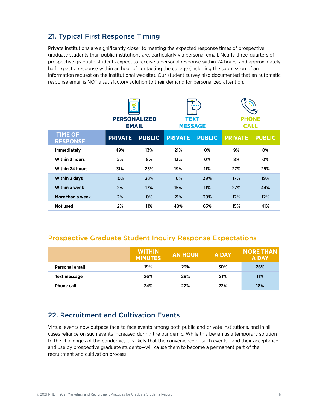## 21. Typical First Response Timing

Private institutions are significantly closer to meeting the expected response times of prospective graduate students than public institutions are, particularly via personal email. Nearly three-quarters of prospective graduate students expect to receive a personal response within 24 hours, and approximately half expect a response within an hour of contacting the college (including the submission of an information request on the institutional website). Our student survey also documented that an automatic response email is NOT a satisfactory solution to their demand for personalized attention.

|                                   | α<br><b>PERSONALIZED</b><br><b>EMAIL</b> |               | <b>TEXT</b><br><b>MESSAGE</b> |               | <b>PHONE</b><br><b>CALL</b> |               |
|-----------------------------------|------------------------------------------|---------------|-------------------------------|---------------|-----------------------------|---------------|
| <b>TIME OF</b><br><b>RESPONSE</b> | <b>PRIVATE</b>                           | <b>PUBLIC</b> | <b>PRIVATE</b>                | <b>PUBLIC</b> | <b>PRIVATE</b>              | <b>PUBLIC</b> |
| <b>Immediately</b>                | 49%                                      | 13%           | 21%                           | 0%            | 9%                          | 0%            |
| <b>Within 3 hours</b>             | 5%                                       | 8%            | 13%                           | 0%            | 8%                          | 0%            |
| <b>Within 24 hours</b>            | 31%                                      | 25%           | 19%                           | 11%           | 27%                         | 25%           |
| <b>Within 3 days</b>              | 10%                                      | 38%           | 10%                           | 39%           | 17%                         | 19%           |
| <b>Within a week</b>              | 2%                                       | 17%           | 15%                           | 11%           | 27%                         | 44%           |
| More than a week                  | 2%                                       | 0%            | 21%                           | 39%           | 12%                         | 12%           |
| Not used                          | 2%                                       | 11%           | 48%                           | 63%           | 15%                         | 41%           |

#### Prospective Graduate Student Inquiry Response Expectations

|                       | <b>WITHIN</b><br><b>MINUTES</b> | <b>AN HOUR</b> | <b>A DAY</b> | <b>MORE THAN</b><br><b>A DAY</b> |
|-----------------------|---------------------------------|----------------|--------------|----------------------------------|
| <b>Personal email</b> | 19%                             | 23%            | 30%          | 26%                              |
| Text message          | 26%                             | 29%            | 21%          | 11%                              |
| <b>Phone call</b>     | 24%                             | 22%            | 22%          | 18%                              |

#### 22. Recruitment and Cultivation Events

Virtual events now outpace face-to face events among both public and private institutions, and in all cases reliance on such events increased during the pandemic. While this began as a temporary solution to the challenges of the pandemic, it is likely that the convenience of such events—and their acceptance and use by prospective graduate students—will cause them to become a permanent part of the recruitment and cultivation process.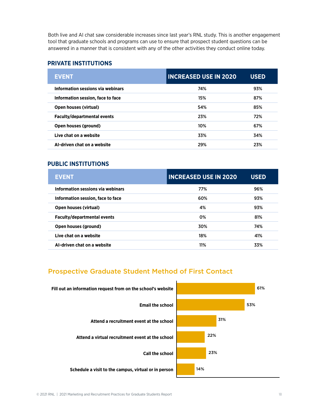Both live and AI chat saw considerable increases since last year's RNL study. This is another engagement tool that graduate schools and programs can use to ensure that prospect student questions can be answered in a manner that is consistent with any of the other activities they conduct online today.

#### **PRIVATE INSTITUTIONS**

| <b>EVENT</b>                       | <b>INCREASED USE IN 2020</b> | <b>USED</b> |
|------------------------------------|------------------------------|-------------|
| Information sessions via webinars  | 74%                          | 93%         |
| Information session, face to face  | 15%                          | 87%         |
| <b>Open houses (virtual)</b>       | 54%                          | 85%         |
| <b>Faculty/departmental events</b> | 23%                          | 72%         |
| Open houses (ground)               | 10%                          | 67%         |
| Live chat on a website             | 33%                          | 34%         |
| AI-driven chat on a website        | 29%                          | 23%         |

#### **PUBLIC INSTITUTIONS**

| <b>EVENT</b>                       | <b>INCREASED USE IN 2020</b> | <b>USED</b> |
|------------------------------------|------------------------------|-------------|
| Information sessions via webinars  | 77%                          | 96%         |
| Information session, face to face  | 60%                          | 93%         |
| <b>Open houses (virtual)</b>       | 4%                           | 93%         |
| <b>Faculty/departmental events</b> | 0%                           | 81%         |
| Open houses (ground)               | 30%                          | 74%         |
| Live chat on a website             | 18%                          | 41%         |
| AI-driven chat on a website        | 11%                          | 33%         |

## Prospective Graduate Student Method of First Contact

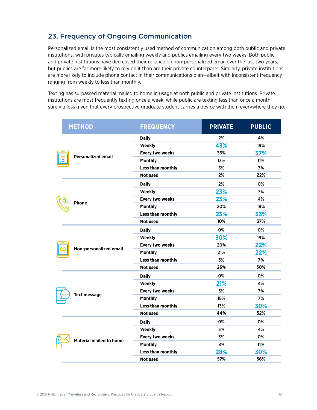# 23. Frequency of Ongoing Communication

Personalized email is the most consistently used method of communication among both public and private institutions, with privates typically emailing weekly and publics emailing every two weeks. Both public and private institutions have decreased their reliance on non-personalized email over the last two years, but publics are far more likely to rely on it than are their private counterparts. Similarly, private institutions are more likely to include phone contact in their communications plan—albeit with inconsistent frequency ranging from weekly to less than monthly.

Texting has surpassed material mailed to home in usage at both public and private institutions. Private institutions are most frequently texting once a week, while public are texting less than once a month surely a loss given that every prospective graduate student carries a device with them everywhere they go.

|  | <b>METHOD</b>                  | <b>FREQUENCY</b>       | <b>PRIVATE</b> | <b>PUBLIC</b> |
|--|--------------------------------|------------------------|----------------|---------------|
|  | <b>Personalized email</b>      | <b>Daily</b>           | 2%             | 4%            |
|  |                                | Weekly                 | 43%            | 19%           |
|  |                                | <b>Every two weeks</b> | 36%            | 37%           |
|  |                                | <b>Monthly</b>         | 13%            | 11%           |
|  |                                | Less than monthly      | 5%             | 7%            |
|  |                                | <b>Not used</b>        | 2%             | 22%           |
|  |                                | <b>Daily</b>           | 2%             | 0%            |
|  |                                | Weekly                 | 23%            | 7%            |
|  |                                | Every two weeks        | 23%            | 4%            |
|  | <b>Phone</b>                   | <b>Monthly</b>         | 20%            | 19%           |
|  |                                | Less than monthly      | 23%            | 33%           |
|  |                                | Not used               | 10%            | 37%           |
|  |                                | <b>Daily</b>           | 0%             | 0%            |
|  |                                | <b>Weekly</b>          | 30%            | 19%           |
|  |                                | Every two weeks        | 20%            | 22%           |
|  | Non-personalized email         | <b>Monthly</b>         | 21%            | 22%           |
|  |                                | Less than monthly      | 3%             | 7%            |
|  |                                | Not used               | 26%            | 30%           |
|  |                                | <b>Daily</b>           | 0%             | 0%            |
|  |                                | Weekly                 | 21%            | 4%            |
|  |                                | <b>Every two weeks</b> | 3%             | 7%            |
|  | <b>Text message</b>            | <b>Monthly</b>         | 18%            | 7%            |
|  |                                | Less than monthly      | 13%            | 30%           |
|  |                                | <b>Not used</b>        | 44%            | 52%           |
|  |                                | <b>Daily</b>           | 0%             | 0%            |
|  |                                | <b>Weekly</b>          | 3%             | 4%            |
|  |                                | Every two weeks        | 3%             | 0%            |
|  | <b>Material mailed to home</b> | <b>Monthly</b>         | 8%             | 11%           |
|  |                                | Less than monthly      | 28%            | 30%           |
|  |                                | Not used               | 57%            | 56%           |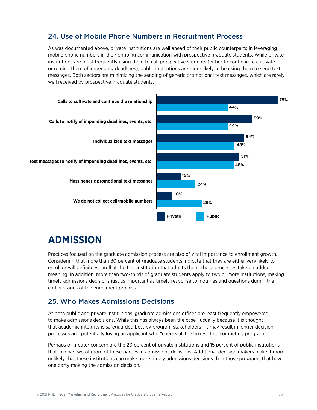# 24. Use of Mobile Phone Numbers in Recruitment Process

As was documented above, private institutions are well ahead of their public counterparts in leveraging mobile phone numbers in their ongoing communication with prospective graduate students. While private institutions are most frequently using them to call prospective students (either to continue to cultivate or remind them of impending deadlines), public institutions are more likely to be using them to send text messages. Both sectors are minimizing the sending of generic promotional text messages, which are rarely well received by prospective graduate students.



# **ADMISSION**

Practices focused on the graduate admission process are also of vital importance to enrollment growth. Considering that more than 80 percent of graduate students indicate that they are either very likely to enroll or will definitely enroll at the first institution that admits them, these processes take on added meaning. In addition, more than two-thirds of graduate students apply to two or more institutions, making timely admissions decisions just as important as timely response to inquiries and questions during the earlier stages of the enrollment process.

## 25. Who Makes Admissions Decisions

At both public and private institutions, graduate admissions offices are least frequently empowered to make admissions decisions. While this has always been the case—usually because it is thought that academic integrity is safeguarded best by program stakeholders—it may result in longer decision processes and potentially losing an applicant who "checks all the boxes" to a competing program.

Perhaps of greater concern are the 20 percent of private institutions and 15 percent of public institutions that involve two of more of these parties in admissions decisions. Additional decision makers make it more unlikely that these institutions can make more timely admissions decisions than those programs that have one party making the admission decision.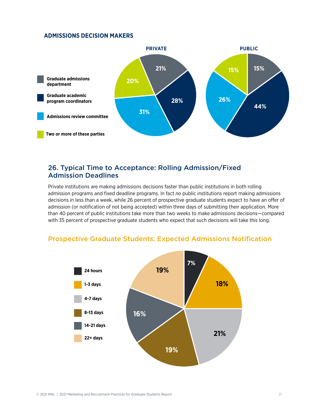#### **ADMISSIONS DECISION MAKERS**



#### 26. Typical Time to Acceptance: Rolling Admission/Fixed Admission Deadlines

Private institutions are making admissions decisions faster than public institutions in both rolling admission programs and fixed deadline programs. In fact *no* public institutions report making admissions decisions in less than a week, while 26 percent of prospective graduate students expect to have an offer of admission (or notification of not being accepted) within three days of submitting their application. More than 40 percent of public institutions take more than two weeks to make admissions decisions—compared with 35 percent of prospective graduate students who expect that such decisions will take this long.



#### Prospective Graduate Students: Expected Admissions Notification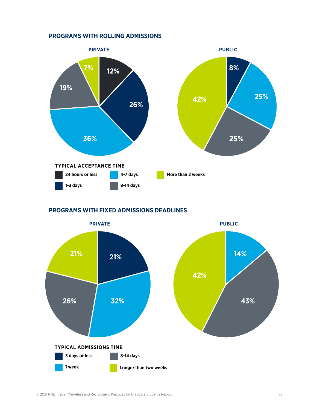#### **PROGRAMS WITH ROLLING ADMISSIONS**



#### **PROGRAMS WITH FIXED ADMISSIONS DEADLINES**

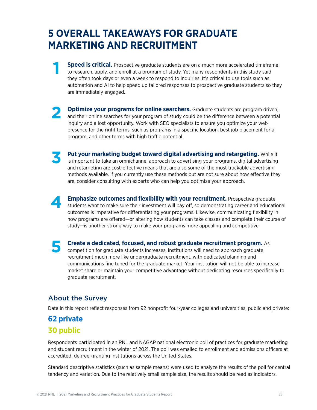# <span id="page-22-0"></span>**5 OVERALL TAKEAWAYS FOR GRADUATE MARKETING AND RECRUITMENT**

- **Speed is critical.** Prospective graduate students are on a much more accelerated timeframe to research, apply, and enroll at a program of study. Yet many respondents in this study said they often took days or even a week to respond to inquiries. It's critical to use tools such as automation and AI to help speed up tailored responses to prospective graduate students so they are immediately engaged.
- **Optimize your programs for online searchers.** Graduate students are program driven, and their online searches for your program of study could be the difference between a potential inquiry and a lost opportunity. Work with SEO specialists to ensure you optimize your web presence for the right terms, such as programs in a specific location, best job placement for a program, and other terms with high traffic potential. **2**
	- **Put your marketing budget toward digital advertising and retargeting.** While it is important to take an omnichannel approach to advertising your programs, digital advertising and retargeting are cost-effective means that are also some of the most trackable advertising methods available. If you currently use these methods but are not sure about how effective they are, consider consulting with experts who can help you optimize your approach.
	- **Emphasize outcomes and flexibility with your recruitment.** Prospective graduate students want to make sure their investment will pay off, so demonstrating career and educational outcomes is imperative for differentiating your programs. Likewise, communicating flexibility in how programs are offered—or altering how students can take classes and complete their course of study—is another strong way to make your programs more appealing and competitive.
- **Create a dedicated, focused, and robust graduate recruitment program.** As competition for graduate students increases, institutions will need to approach graduate recruitment much more like undergraduate recruitment, with dedicated planning and communications fine tuned for the graduate market. Your institution will not be able to increase market share or maintain your competitive advantage without dedicating resources specifically to graduate recruitment. **5**

# About the Survey

Data in this report reflect responses from 92 nonprofit four-year colleges and universities, public and private:

# **62 private 30 public**

**4**

**3**

**1**

Respondents participated in an RNL and NAGAP national electronic poll of practices for graduate marketing and student recruitment in the winter of 2021. The poll was emailed to enrollment and admissions officers at accredited, degree-granting institutions across the United States.

Standard descriptive statistics (such as sample means) were used to analyze the results of the poll for central tendency and variation. Due to the relatively small sample size, the results should be read as indicators.